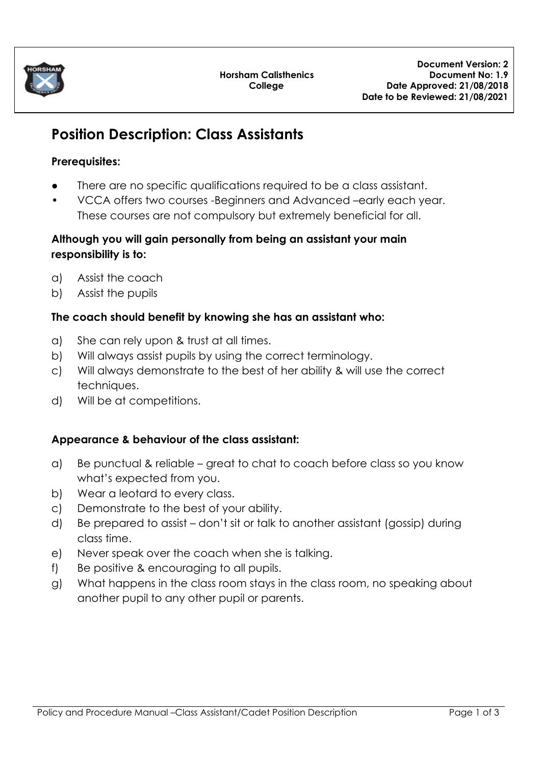

# **Position Description: Class Assistants**

## **Prerequisites:**

- There are no specific qualifications required to be a class assistant.
- VCCA offers two courses -Beginners and Advanced –early each year. These courses are not compulsory but extremely beneficial for all.

## **Although you will gain personally from being an assistant your main responsibility is to:**

- a) Assist the coach
- b) Assist the pupils

## **The coach should benefit by knowing she has an assistant who:**

- a) She can rely upon & trust at all times.
- b) Will always assist pupils by using the correct terminology.
- c) Will always demonstrate to the best of her ability & will use the correct techniques.
- d) Will be at competitions.

## **Appearance & behaviour of the class assistant:**

- a) Be punctual & reliable great to chat to coach before class so you know what's expected from you.
- b) Wear a leotard to every class.
- c) Demonstrate to the best of your ability.
- d) Be prepared to assist don't sit or talk to another assistant (gossip) during class time.
- e) Never speak over the coach when she is talking.
- f) Be positive & encouraging to all pupils.
- g) What happens in the class room stays in the class room, no speaking about another pupil to any other pupil or parents.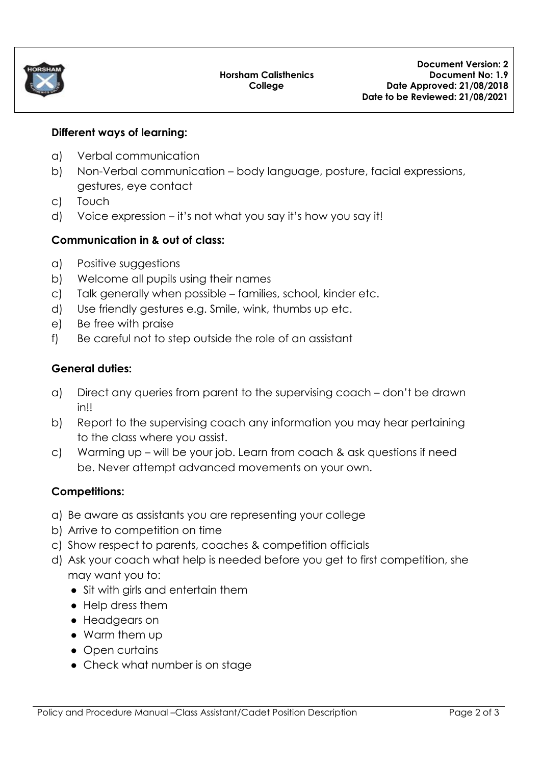

#### **Different ways of learning:**

- a) Verbal communication
- b) Non-Verbal communication body language, posture, facial expressions, gestures, eye contact
- c) Touch
- d) Voice expression it's not what you say it's how you say it!

#### **Communication in & out of class:**

- a) Positive suggestions
- b) Welcome all pupils using their names
- c) Talk generally when possible families, school, kinder etc.
- d) Use friendly gestures e.g. Smile, wink, thumbs up etc.
- e) Be free with praise
- f) Be careful not to step outside the role of an assistant

#### **General duties:**

- a) Direct any queries from parent to the supervising coach don't be drawn in!!
- b) Report to the supervising coach any information you may hear pertaining to the class where you assist.
- c) Warming up will be your job. Learn from coach & ask questions if need be. Never attempt advanced movements on your own.

## **Competitions:**

- a) Be aware as assistants you are representing your college
- b) Arrive to competition on time
- c) Show respect to parents, coaches & competition officials
- d) Ask your coach what help is needed before you get to first competition, she may want you to:
	- Sit with girls and entertain them
	- Help dress them
	- Headgears on
	- Warm them up
	- Open curtains
	- Check what number is on stage